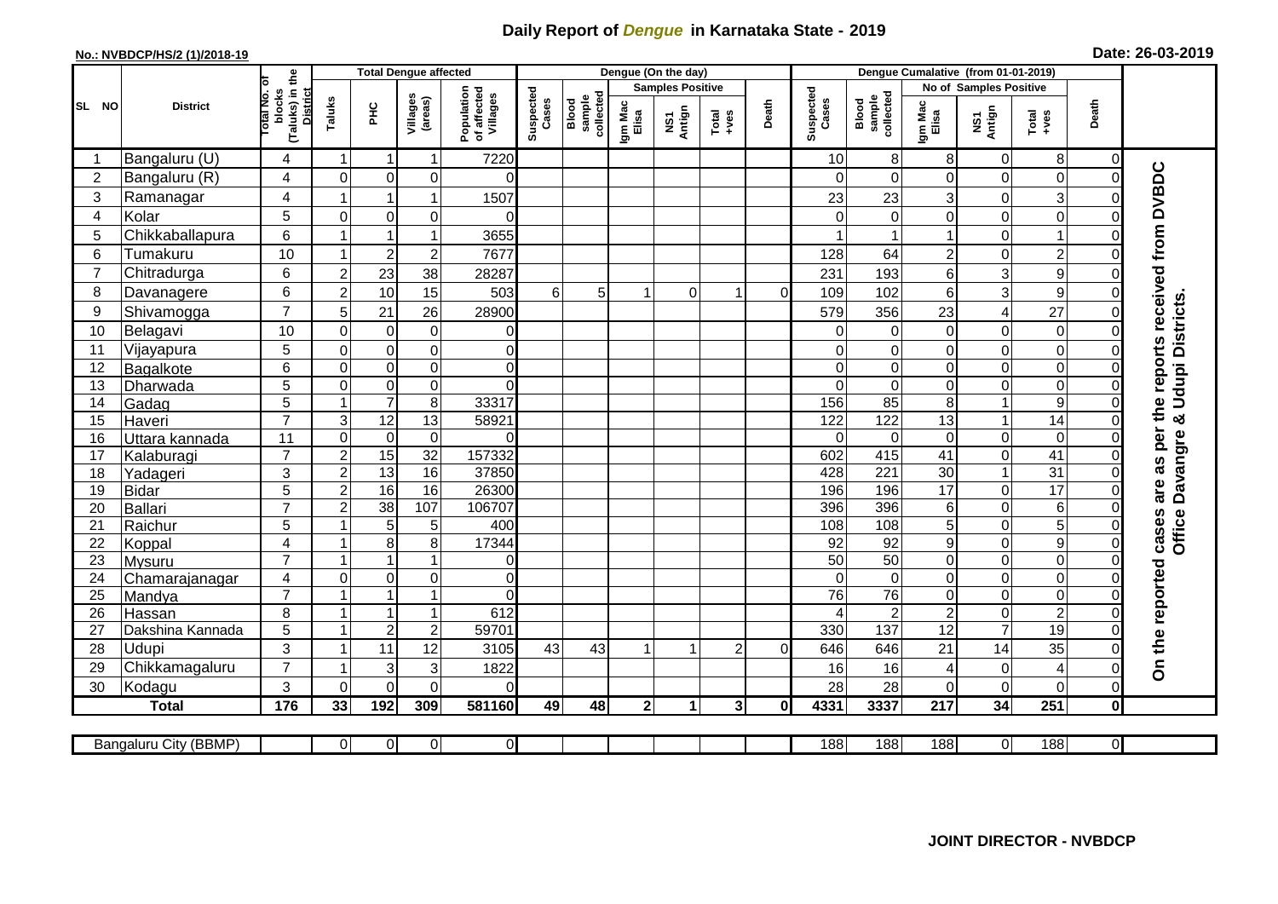## **Daily Report of** *Dengue* **in Karnataka State - 2019**

## **No.: NVBDCP/HS/2 (1)/2018-19 Date: 26-03-2019**

|                | <b>District</b>       |                                                             | <b>Total Dengue affected</b> |                         |                                       |                    |                              |                  |                         | Dengue (On the day) |                |                    |                              |                  |                 |                          |                           |                     |                                        |
|----------------|-----------------------|-------------------------------------------------------------|------------------------------|-------------------------|---------------------------------------|--------------------|------------------------------|------------------|-------------------------|---------------------|----------------|--------------------|------------------------------|------------------|-----------------|--------------------------|---------------------------|---------------------|----------------------------------------|
|                |                       |                                                             |                              |                         |                                       |                    |                              |                  | <b>Samples Positive</b> |                     |                |                    |                              |                  |                 | No of Samples Positive   |                           |                     |                                        |
| SL NO          |                       | (Taluks) in the<br>otal No. of<br>blocks<br><b>District</b> | Taluks<br>ΞÉ                 | Villages<br>(areas)     | Population<br>of affected<br>Villages | Suspected<br>Cases | sample<br>collected<br>Blood | Igm Mac<br>Elisa | NS1<br>Antign           | $Total$             | Death          | Suspected<br>Cases | sample<br>collected<br>Blood | Igm Mac<br>Elisa | NS1<br>Antign   | Total<br>+ves            | Death                     |                     |                                        |
|                | Bangaluru (U)         | 4                                                           | $\mathbf 1$                  | -1                      | 1                                     | 7220               |                              |                  |                         |                     |                |                    | 10                           | 8                | 8               | $\mathbf 0$              | 8                         | $\overline{0}$      |                                        |
| $\overline{2}$ | Bangaluru (R)         | 4                                                           | $\mathbf 0$                  | $\mathbf 0$             | $\mathbf 0$                           | $\Omega$           |                              |                  |                         |                     |                |                    |                              | $\Omega$         | 0               | $\mathbf 0$              | $\mathbf 0$               | $\Omega$            |                                        |
| 3              | Ramanagar             | 4                                                           |                              | 1                       | 1                                     | 1507               |                              |                  |                         |                     |                |                    | 23                           | 23               | 3               | $\mathbf 0$              | $\ensuremath{\mathsf{3}}$ | 0                   | as per the reports received from DVBDC |
| $\overline{4}$ | Kolar                 | 5                                                           | $\overline{0}$               | $\Omega$                | $\mathbf 0$                           | $\Omega$           |                              |                  |                         |                     |                |                    |                              | $\Omega$         | 0               | $\mathbf 0$              | $\overline{0}$            | $\Omega$            |                                        |
| 5              | Chikkaballapura       | 6                                                           |                              | $\overline{1}$          | 1                                     | 3655               |                              |                  |                         |                     |                |                    |                              |                  | 1               | $\mathbf 0$              | $\mathbf{1}$              | 0                   |                                        |
| 6              | Tumakuru              | 10                                                          |                              | $\overline{2}$          | $\overline{2}$                        | 7677               |                              |                  |                         |                     |                |                    | 128                          | 64               | $\overline{c}$  | $\mathbf 0$              | $\overline{c}$            | 0                   |                                        |
| $\overline{7}$ | Chitradurga           | 6                                                           | $\overline{c}$               | 23                      | 38                                    | 28287              |                              |                  |                         |                     |                |                    | 231                          | 193              | 6               | 3                        | $\boldsymbol{9}$          | O                   |                                        |
| 8              | Davanagere            | 6                                                           | $\overline{2}$               | 10                      | 15                                    | 503                | 6                            | 5                |                         | $\Omega$            |                | $\Omega$           | 109                          | 102              | 6               | 3                        | 9                         | $\Omega$            |                                        |
| 9              | Shivamogga            | $\overline{7}$                                              | 5                            | 21                      | 26                                    | 28900              |                              |                  |                         |                     |                |                    | 579                          | 356              | 23              | $\overline{\mathcal{A}}$ | 27                        | O                   | <b>Udupi Districts</b>                 |
| 10             | Belagavi              | 10                                                          | $\mathbf 0$                  | 0                       | $\boldsymbol{0}$                      | $\Omega$           |                              |                  |                         |                     |                |                    | ∩                            | 0                | 0               | $\mathbf 0$              | $\mathbf 0$               | $\Omega$            |                                        |
| 11             | Vijayapura            | 5                                                           | $\mathbf 0$                  | $\boldsymbol{0}$        | $\mathbf 0$                           | $\mathbf 0$        |                              |                  |                         |                     |                |                    |                              | $\mathbf 0$      | 0               | $\mathbf 0$              | $\mathbf 0$               | 0                   |                                        |
| 12             | Bagalkote             | 6                                                           | $\Omega$                     | $\mathbf 0$             | $\pmb{0}$                             | $\mathbf 0$        |                              |                  |                         |                     |                |                    | $\Omega$                     | $\mathbf 0$      | 0               | $\mathbf 0$              | $\mathbf 0$               | $\Omega$            |                                        |
| 13             | Dharwada              | $\overline{5}$                                              | $\mathbf 0$                  | $\boldsymbol{0}$        | $\overline{0}$                        | 0                  |                              |                  |                         |                     |                |                    | $\Omega$                     | $\pmb{0}$        | 0               | $\mathbf 0$              | $\overline{0}$            | $\Omega$            |                                        |
| 14             | Gadag                 | $\overline{5}$                                              |                              | $\overline{7}$          | $\bf 8$                               | 33317              |                              |                  |                         |                     |                |                    | 156                          | 85               | 8               | $\mathbf{1}$             | 9                         | 0                   |                                        |
| 15             | Haveri                | $\overline{7}$                                              | $\mathsf 3$                  | $\overline{12}$         | 13                                    | 58921              |                              |                  |                         |                     |                |                    | 122                          | 122              | $\overline{13}$ | $\mathbf{1}$             | 14                        | 0                   | න්                                     |
| 16             | Uttara kannada        | 11                                                          | $\mathbf 0$                  | 0                       | $\pmb{0}$                             | $\Omega$           |                              |                  |                         |                     |                |                    | $\Omega$                     | 0                | 0               | $\pmb{0}$                | $\mathbf 0$               | 0                   | Davangre                               |
| 17             | Kalaburagi            | $\overline{7}$                                              | $\overline{c}$               | 15                      | 32                                    | 157332             |                              |                  |                         |                     |                |                    | 602                          | 415              | $\overline{41}$ | $\mathbf 0$              | $\overline{41}$           | 0                   |                                        |
| 18             | Yadageri              | 3                                                           | $\overline{2}$               | 13                      | 16                                    | 37850              |                              |                  |                         |                     |                |                    | 428                          | 221              | 30              | $\mathbf{1}$             | 31                        | 0                   |                                        |
| 19             | Bidar                 | 5                                                           | $\overline{2}$               | 16                      | 16                                    | 26300              |                              |                  |                         |                     |                |                    | 196                          | 196              | $\overline{17}$ | $\mathbf 0$              | $\overline{17}$           | $\Omega$            | are                                    |
| 20             | Ballari               | $\overline{7}$                                              | $\overline{c}$               | $\overline{38}$         | 107                                   | 106707             |                              |                  |                         |                     |                |                    | 396                          | 396              | 6               | $\boldsymbol{0}$         | $\overline{6}$            | $\Omega$            |                                        |
| 21             | Raichur               | 5                                                           |                              | 5                       | 5                                     | 400                |                              |                  |                         |                     |                |                    | 108                          | 108              | 5               | $\boldsymbol{0}$         | $\overline{5}$            | 0                   | Office                                 |
| 22             | Koppal                | $\overline{4}$                                              |                              | 8                       | 8                                     | 17344              |                              |                  |                         |                     |                |                    | 92                           | 92               | 9               | $\mathbf 0$              | $\overline{9}$            | $\Omega$            | cases                                  |
| 23             | <b>Mysuru</b>         | $\overline{7}$                                              |                              |                         |                                       | 0                  |                              |                  |                         |                     |                |                    | $\overline{50}$              | $\overline{50}$  | 0               | $\mathbf 0$              | $\boldsymbol{0}$          | $\Omega$            |                                        |
| 24             | Chamarajanagar        | 4                                                           | $\Omega$                     | $\overline{0}$          | 0                                     | $\Omega$           |                              |                  |                         |                     |                |                    | $\Omega$                     | $\mathbf 0$      | 0               | $\mathbf 0$              | $\boldsymbol{0}$          | $\Omega$            |                                        |
| 25             | Mandya                | $\overline{7}$                                              |                              | $\overline{\mathbf{1}}$ | $\overline{1}$                        | $\Omega$           |                              |                  |                         |                     |                |                    | 76                           | $\overline{76}$  | 0               | $\mathbf 0$              | $\overline{0}$            | $\overline{0}$      |                                        |
| 26             | Hassan                | 8                                                           |                              | -1                      | 1                                     | 612                |                              |                  |                         |                     |                |                    |                              | $\overline{2}$   | $\overline{2}$  | $\boldsymbol{0}$         | $\overline{2}$            | 0                   |                                        |
| 27             | Dakshina Kannada      | $\overline{5}$                                              |                              | $\overline{2}$          | $\overline{\mathbf{c}}$               | 59701              |                              |                  |                         |                     |                |                    | 330                          | 137              | $\overline{12}$ | $\overline{7}$           | 19                        | $\Omega$            |                                        |
| 28             | <b>Udupi</b>          | 3<br>$\overline{7}$                                         |                              | 11                      | 12                                    | 3105               | 43                           | 43               |                         | 1                   | 2              | $\Omega$           | 646                          | 646              | 21              | 14                       | 35                        |                     | On the reported                        |
| 29             | Chikkamagaluru        |                                                             |                              | 3                       | 3                                     | 1822               |                              |                  |                         |                     |                |                    | 16                           | 16               | 4               | 0                        | 4                         | 0                   |                                        |
| 30             | Kodagu                | 3                                                           | $\Omega$                     | $\Omega$                | $\Omega$                              | 0                  |                              |                  |                         |                     |                |                    | 28                           | 28               | 0               | $\mathbf 0$              | $\Omega$                  | 0                   |                                        |
|                | <b>Total</b>          | $\frac{1}{176}$                                             | 33                           | 192                     | 309                                   | 581160             | 49                           | 48               | 2 <sub>l</sub>          | $\mathbf{1}$        | 3 <sup>1</sup> | $\mathbf{0}$       | 4331                         | 3337             | 217             | 34                       | 251                       | $\mathbf{0}$        |                                        |
|                | Bangaluru City (BBMP) |                                                             | $\overline{0}$               | $\overline{0}$          | $\overline{0}$                        | $\overline{0}$     |                              |                  |                         |                     |                |                    | 188                          | 188              | 188             | $\overline{0}$           | 188                       | $\overline{\Omega}$ |                                        |